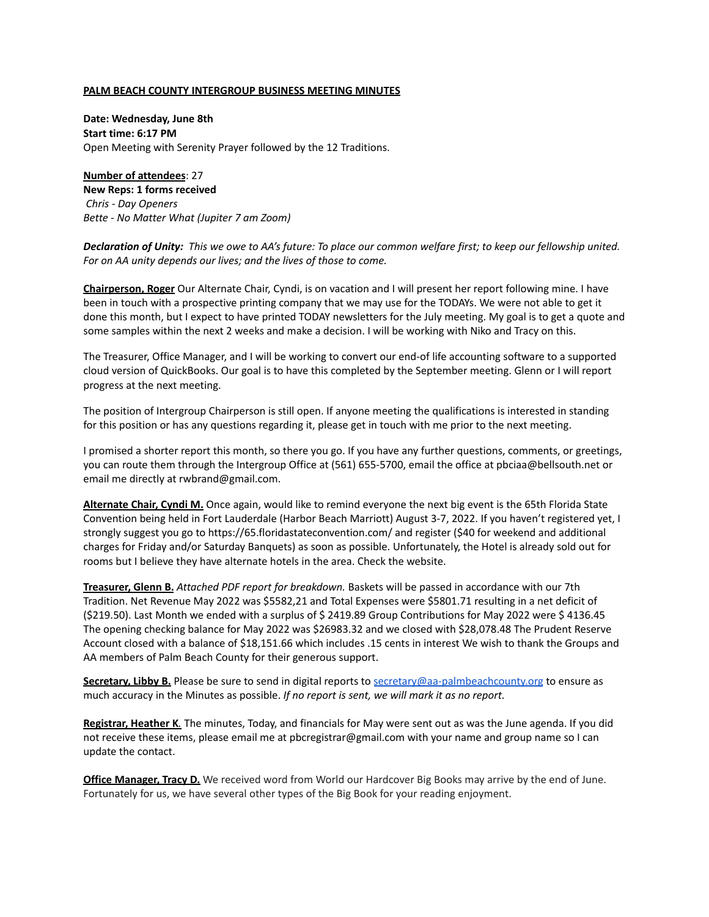#### **PALM BEACH COUNTY INTERGROUP BUSINESS MEETING MINUTES**

**Date: Wednesday, June 8th Start time: 6:17 PM** Open Meeting with Serenity Prayer followed by the 12 Traditions.

**Number of attendees**: 27 **New Reps: 1 forms received** *Chris - Day Openers Bette - No Matter What (Jupiter 7 am Zoom)*

Declaration of Unity: This we owe to AA's future: To place our common welfare first; to keep our fellowship united. *For on AA unity depends our lives; and the lives of those to come.*

**Chairperson, Roger** Our Alternate Chair, Cyndi, is on vacation and I will present her report following mine. I have been in touch with a prospective printing company that we may use for the TODAYs. We were not able to get it done this month, but I expect to have printed TODAY newsletters for the July meeting. My goal is to get a quote and some samples within the next 2 weeks and make a decision. I will be working with Niko and Tracy on this.

The Treasurer, Office Manager, and I will be working to convert our end-of life accounting software to a supported cloud version of QuickBooks. Our goal is to have this completed by the September meeting. Glenn or I will report progress at the next meeting.

The position of Intergroup Chairperson is still open. If anyone meeting the qualifications is interested in standing for this position or has any questions regarding it, please get in touch with me prior to the next meeting.

I promised a shorter report this month, so there you go. If you have any further questions, comments, or greetings, you can route them through the Intergroup Office at (561) 655-5700, email the office at pbciaa@bellsouth.net or email me directly at rwbrand@gmail.com.

**Alternate Chair, Cyndi M.** Once again, would like to remind everyone the next big event is the 65th Florida State Convention being held in Fort Lauderdale (Harbor Beach Marriott) August 3-7, 2022. If you haven't registered yet, I strongly suggest you go to https://65.floridastateconvention.com/ and register (\$40 for weekend and additional charges for Friday and/or Saturday Banquets) as soon as possible. Unfortunately, the Hotel is already sold out for rooms but I believe they have alternate hotels in the area. Check the website.

**Treasurer, Glenn B.** *Attached PDF report for breakdown.* Baskets will be passed in accordance with our 7th Tradition. Net Revenue May 2022 was \$5582,21 and Total Expenses were \$5801.71 resulting in a net deficit of (\$219.50). Last Month we ended with a surplus of \$ 2419.89 Group Contributions for May 2022 were \$ 4136.45 The opening checking balance for May 2022 was \$26983.32 and we closed with \$28,078.48 The Prudent Reserve Account closed with a balance of \$18,151.66 which includes .15 cents in interest We wish to thank the Groups and AA members of Palm Beach County for their generous support.

**Secretary, Libby B.** Please be sure to send in digital reports to [secretary@aa-palmbeachcounty.org](mailto:secretary@aa-palmbeachcounty.org) to ensure as much accuracy in the Minutes as possible. *If no report is sent, we will mark it as no report.*

**Registrar, Heather K***.* The minutes, Today, and financials for May were sent out as was the June agenda. If you did not receive these items, please email me at pbcregistrar@gmail.com with your name and group name so I can update the contact.

**Office Manager, Tracy D.** We received word from World our Hardcover Big Books may arrive by the end of June. Fortunately for us, we have several other types of the Big Book for your reading enjoyment.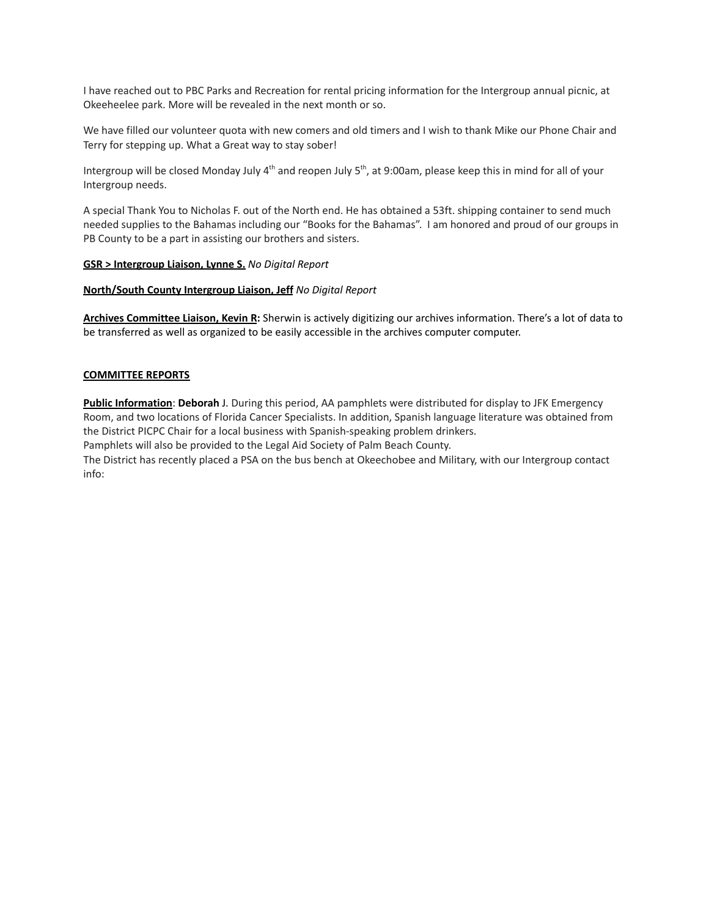I have reached out to PBC Parks and Recreation for rental pricing information for the Intergroup annual picnic, at Okeeheelee park. More will be revealed in the next month or so.

We have filled our volunteer quota with new comers and old timers and I wish to thank Mike our Phone Chair and Terry for stepping up. What a Great way to stay sober!

Intergroup will be closed Monday July 4<sup>th</sup> and reopen July 5<sup>th</sup>, at 9:00am, please keep this in mind for all of your Intergroup needs.

A special Thank You to Nicholas F. out of the North end. He has obtained a 53ft. shipping container to send much needed supplies to the Bahamas including our "Books for the Bahamas". I am honored and proud of our groups in PB County to be a part in assisting our brothers and sisters.

## **GSR > Intergroup Liaison, Lynne S.** *No Digital Report*

## **North/South County Intergroup Liaison, Jeff** *No Digital Report*

**Archives Committee Liaison, Kevin R:** Sherwin is actively digitizing our archives information. There's a lot of data to be transferred as well as organized to be easily accessible in the archives computer computer.

#### **COMMITTEE REPORTS**

**Public Information**: **Deborah** J. During this period, AA pamphlets were distributed for display to JFK Emergency Room, and two locations of Florida Cancer Specialists. In addition, Spanish language literature was obtained from the District PICPC Chair for a local business with Spanish-speaking problem drinkers. Pamphlets will also be provided to the Legal Aid Society of Palm Beach County.

The District has recently placed a PSA on the bus bench at Okeechobee and Military, with our Intergroup contact info: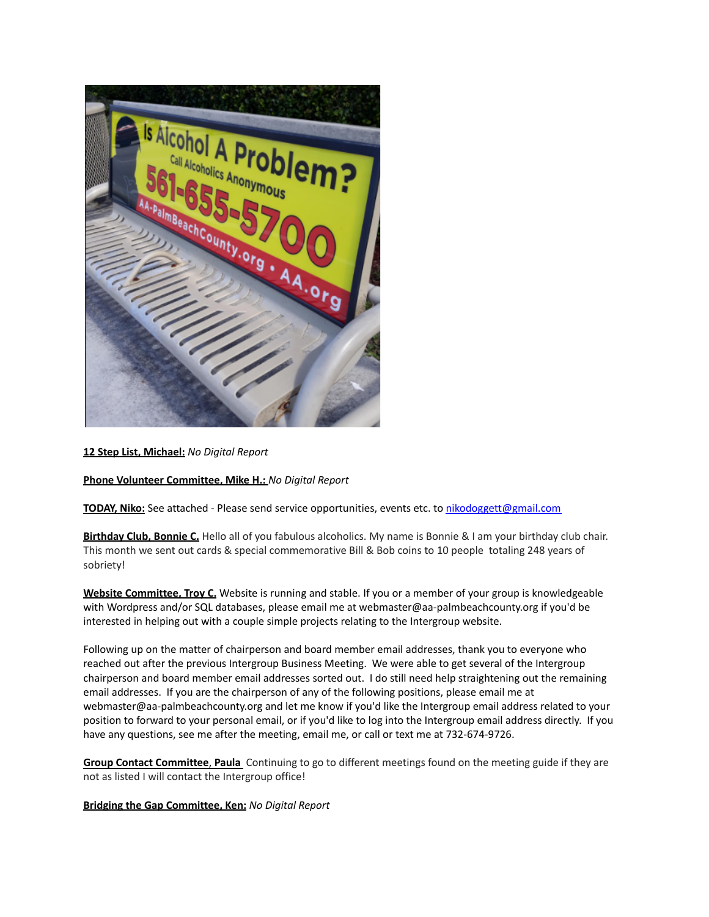

# **12 Step List, Michael:** *No Digital Report*

**Phone Volunteer Committee, Mike H.:** *No Digital Report*

**TODAY, Niko:** See attached - Please send service opportunities, events etc. to [nikodoggett@gmail.com](mailto:nikodoggett@gmail.com)

**Birthday Club, Bonnie C.** Hello all of you fabulous alcoholics. My name is Bonnie & I am your birthday club chair. This month we sent out cards & special commemorative Bill & Bob coins to 10 people totaling 248 years of sobriety!

**Website Committee, Troy C.** Website is running and stable. If you or a member of your group is knowledgeable with Wordpress and/or SQL databases, please email me at webmaster@aa-palmbeachcounty.org if you'd be interested in helping out with a couple simple projects relating to the Intergroup website.

Following up on the matter of chairperson and board member email addresses, thank you to everyone who reached out after the previous Intergroup Business Meeting. We were able to get several of the Intergroup chairperson and board member email addresses sorted out. I do still need help straightening out the remaining email addresses. If you are the chairperson of any of the following positions, please email me at webmaster@aa-palmbeachcounty.org and let me know if you'd like the Intergroup email address related to your position to forward to your personal email, or if you'd like to log into the Intergroup email address directly. If you have any questions, see me after the meeting, email me, or call or text me at 732-674-9726.

**Group Contact Committee**, **Paula** Continuing to go to different meetings found on the meeting guide if they are not as listed I will contact the Intergroup office!

**Bridging the Gap Committee, Ken:** *No Digital Report*